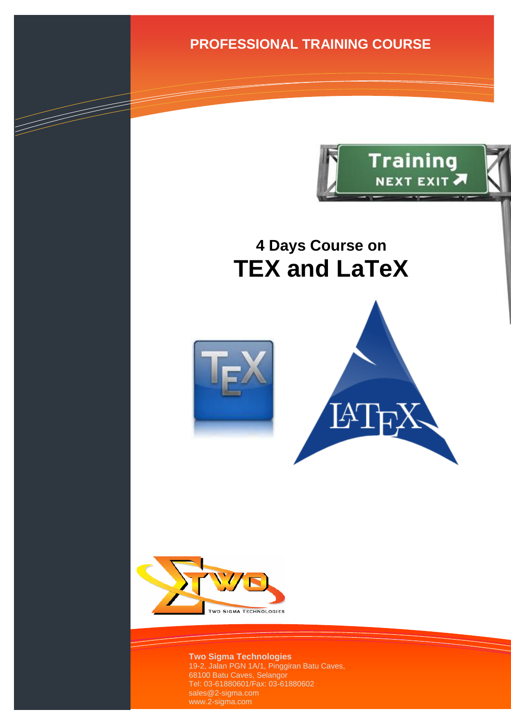**PROFESSIONAL TRAINING COURSE**



# **4 Days Course on TEX and LaTeX**







**Two Sigma Technologies** 19-2, Jalan PGN 1A/1, Pinggiran Batu Caves, 68100 Batu Caves, Selangor Tel: 03-61880601/Fax: 03-61880602 sales@2-sigma.com www.2-sigma.com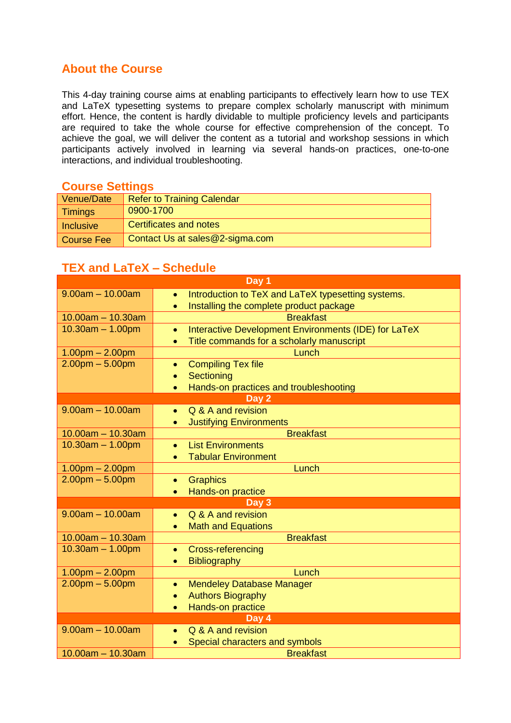## **About the Course**

This 4-day training course aims at enabling participants to effectively learn how to use TEX and LaTeX typesetting systems to prepare complex scholarly manuscript with minimum effort. Hence, the content is hardly dividable to multiple proficiency levels and participants are required to take the whole course for effective comprehension of the concept. To achieve the goal, we will deliver the content as a tutorial and workshop sessions in which participants actively involved in learning via several hands-on practices, one-to-one interactions, and individual troubleshooting.

#### **Course Settings**

| Venue/Date        | <b>Refer to Training Calendar</b> |
|-------------------|-----------------------------------|
| <b>Timings</b>    | 0900-1700                         |
| <b>Inclusive</b>  | Certificates and notes            |
| <b>Course Fee</b> | Contact Us at sales@2-sigma.com   |

### **TEX and LaTeX – Schedule**

| Day 1                 |                                                                   |  |  |
|-----------------------|-------------------------------------------------------------------|--|--|
| $9.00am - 10.00am$    | Introduction to TeX and LaTeX typesetting systems.<br>$\bullet$   |  |  |
|                       | Installing the complete product package<br>$\bullet$              |  |  |
| $10.00am - 10.30am$   | <b>Breakfast</b>                                                  |  |  |
| $10.30am - 1.00pm$    | Interactive Development Environments (IDE) for LaTeX<br>$\bullet$ |  |  |
|                       | Title commands for a scholarly manuscript<br>$\bullet$            |  |  |
| $1.00$ pm $- 2.00$ pm | Lunch                                                             |  |  |
| $2.00pm - 5.00pm$     | <b>Compiling Tex file</b><br>$\bullet$                            |  |  |
|                       | Sectioning<br>$\bullet$                                           |  |  |
|                       | Hands-on practices and troubleshooting<br>$\bullet$               |  |  |
| Day 2                 |                                                                   |  |  |
| $9.00am - 10.00am$    | Q & A and revision<br>$\bullet$                                   |  |  |
|                       | <b>Justifying Environments</b><br>$\bullet$                       |  |  |
| $10.00am - 10.30am$   | <b>Breakfast</b>                                                  |  |  |
| $10.30am - 1.00pm$    | <b>List Environments</b><br>$\bullet$                             |  |  |
|                       | <b>Tabular Environment</b>                                        |  |  |
| $1.00$ pm $- 2.00$ pm | Lunch                                                             |  |  |
| $2.00pm - 5.00pm$     | <b>Graphics</b><br>$\bullet$                                      |  |  |
|                       | Hands-on practice<br>$\bullet$                                    |  |  |
| Day 3                 |                                                                   |  |  |
| $9.00am - 10.00am$    | Q & A and revision<br>$\bullet$                                   |  |  |
|                       | <b>Math and Equations</b>                                         |  |  |
| $10.00am - 10.30am$   | <b>Breakfast</b>                                                  |  |  |
| $10.30am - 1.00pm$    | <b>Cross-referencing</b><br>$\bullet$                             |  |  |
|                       | <b>Bibliography</b><br>$\bullet$                                  |  |  |
| $1.00$ pm $- 2.00$ pm | Lunch                                                             |  |  |
| $2.00pm - 5.00pm$     | <b>Mendeley Database Manager</b><br>$\bullet$                     |  |  |
|                       | <b>Authors Biography</b><br>$\bullet$                             |  |  |
|                       | Hands-on practice<br>$\bullet$                                    |  |  |
| Day 4                 |                                                                   |  |  |
| $9.00am - 10.00am$    | Q & A and revision<br>$\bullet$                                   |  |  |
|                       | Special characters and symbols                                    |  |  |
| $10.00am - 10.30am$   | <b>Breakfast</b>                                                  |  |  |